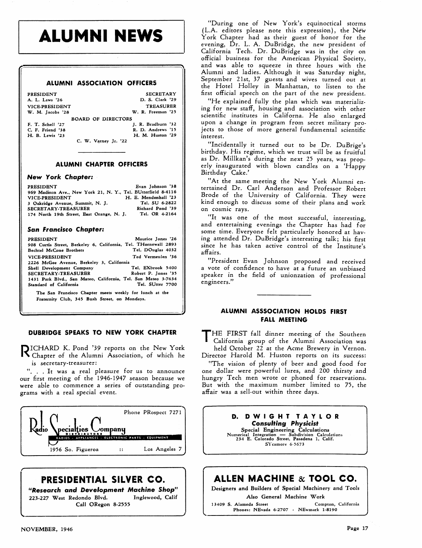# **ALUMNI NEWS**

#### **ALUMNI ASSOCIATION OFFICERS**

| PRESIDENT<br>A. L. Laws '26 | <b>SECRETARY</b><br>D. S. Clark '29 |  |
|-----------------------------|-------------------------------------|--|
| VICE-PRESIDENT              | <b>TREASURER</b>                    |  |
| W. M. Jacobs '28            | W. R. Freeman '25                   |  |
| <b>BOARD OF DIRECTORS</b>   |                                     |  |
| F. T. Schell '27            | J. R. Bradburn '32                  |  |
| C. F. Friend '38            | R. D. Andrews '15                   |  |
| H. B. Lewis '23             | H. M. Huston '29                    |  |
| C. W. Varney Jr. '22        |                                     |  |

#### **ALUMNI CHAPTER OFFICERS**

#### **New York Chapter:**

| <b>PRESIDENT</b>                                              | Evan Johnson '38     |
|---------------------------------------------------------------|----------------------|
| 969 Madison Ave., New York 21, N. Y., Tel. BUtterfield 8-4116 |                      |
| <b>VICE-PRESIDENT</b>                                         | H. E. Mendenhall '23 |
| 3 Oakridge Avenue, Summit, N. J.                              | Tel. SU 6-2822       |
| <b>SECRETARY-TREASURER</b>                                    | Richard Pond '39     |
| 174 North 19th Street, East Orange, N. J.                     | Tel. OR 4-2164       |

#### **Sun Francisco Chapter:**

| PRESIDENT                                                                                                      | Maurice Jones '26   |
|----------------------------------------------------------------------------------------------------------------|---------------------|
| 908 Curtis Street, Berkeley 6, California, Tel. THornewall 2893                                                |                     |
| Bechtel McCone Brothers                                                                                        | Tel. DOuglas 4032   |
| VICE-PRESIDENT                                                                                                 | Ted Vermeulen '36   |
| 2226 McGee Avenue, Berkeley 3, California                                                                      |                     |
| Shell Development Company                                                                                      | Tel. EXbrook 5400   |
| SECRETARY-TREASURER                                                                                            | Robert P. Jones '35 |
| 1431 Park Blvd., San Mateo, California, Tel. San Mateo 3-7634                                                  |                     |
| Standard of California                                                                                         | Tel. SUtter 7700    |
| the first and a model of the company of the second term of the state of the state of the state of the state of |                     |

The San Francisco Chapter meets weekly for lunch at the Fraternity Club, 345 Bush Street, on Mondays.

#### **DUBRIDGE SPEAKS TO NEW YORK CHAPTER**

R ICHARD K. Pond '39 reports on the New York Chapter of the Alumni Association, of which he is secretary-treasurer:

**'t.** . . It was a real pleasure for us to announce our first meeting of the 1946-1947 season because we were able ro commence a series of outstanding programs with a real special event.



### **PRESIDENTIAL SILVER CO.**

**Wesearch and Development Machine Shop"**  223-227 West Redondo Blvd. Call ORegon **8-2555** 

"During one of New York's equinoctical storms (L.A. editors please note this expression), the New York Chapter had as their guest of honor for the evening, Dr. L. A. DuBridge, the new president of California Tech. Dr. DuBridge was in the city on official business for the American Physical Society, and was able to squeeze in three hours with the Alumni and ladies. Although it was Saturday night, September Zlst, 37 guests and wives turned out at the Hotel Holley in Manhattan, to listen to the first official speech on the part of the new president.

"He explained fully the plan which was materializing for new staff, housing and association with other scientific institutes in Californa. He also enlarged upon a change in program from secret military projects to those of more general fundamental scientific interest.

"Incidentally it turned out to be Dr. DuBrige's birthday. His regime, which we trust will be as fruitful as Dr. Millkan's during the next 25 years, was properly inaugurated with blown candles on a 'Happy Birthday Cake.'

"At the same meeting the New York Alumni entertained Dr. Carl Anderson and Professor Robert Brode of the University of California. They were kind enough to discuss some of their plans and work on cosmic rays.

"It was one of the most successful, interesting, and entertaining evenings the Chapter has had for some time. Everyone felt particularly honored at having attended Dr. DuBridge's interesting talk; his first since he has taken active control of the Institute's affairs.

"President Evan Johnson proposed and received a vote of confidence to have at a future an unbiased speaker in the field of unionzation of professional engineers."

### **ALUMNI ASSSOCIATION HOLDS FIRST FALL MEETING**

T HE FIRST fall dinner meeting of the Southern California group of the Alumni Association was held October 22 at the Acme Brewery in Vernon.

Director Harold M. Huston reports on its success:

"The vision of plenty of beer and good food for one dollar were powerful lures, and ZOO thirsty and hungry Tech men wrote or phoned for reservations. But with the maximum number limited to 75, the affair was a sell-out within three days.

### **D. DWIGHT TAYLOR**<br>Consulting Physicist<br>Special Engineering Calculations<br>Numerical Integration — Subdivision Calculations<br>234 E. Colorado Street, Pasadena 1, Calif.<br>SYcamore 6-5673 **Consulting Physicist**  Special Engineering CaIculations **Consulting Physicist**<br>Special Engineering Calculations<br>Numerical Integration — Subdivision Calculations<br>234 E. Colorado Street, Pasadena 1, Calif. sycamore **6-5673**

### **ALLEN MACHINE** & **TOOL CO.**

Designers and Builders of Special Machinery and Tools

Also General Machine Work

13409 S. Alameda Street Compton, California Phones: NEvada 6-2707 - NEwmark 1-8190

 $\mathbf{A}$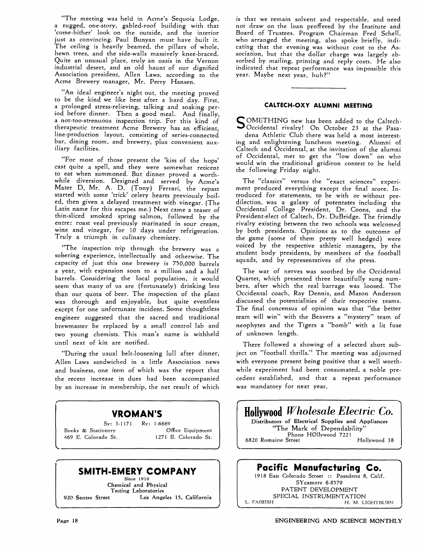"The meeting was held in Acme's Sequoia Lodge, a rugged, one-story, gabled-roof building with that 'come-hither' look on the outside, and the interior just as convincing. Paul Bunyan must have built it. The ceiling is heavily beamed, the pillars of whole, hewn trees, and the side-walls massively knee-braced. Quite an unusual place, truly an oasis in the Vernon industrial desert, and an old haunt of our dignified Association president, Allen Laws, according to the Acme Brewery manager, Mr. Perry Hansen.

"An idea1 engineer's night out, the meeting proved to be the kind we like best after a hard day. First, a prolonged stress-relieving, talking and soaking period before dinner. Then a good meal. And finally, a not-too-strenuous inspection trip. For this kind of therapeutic treatment Acme Brewery has an efficient, line-production layout, consisting of series-connected bar, dining room, and brewery, plus convenient auxiliary facilities.

"For most of those present the 'kiss of the hops' cast quite a spell, and they were somewhat reticent to eat when summoned. But dinner proved a worthwhile diversion. Designed and served by Acme's Mater D, Mr. A. D. (Tony) Ferrari, the repast started with some 'trick' celery hearts previously boiled, then given a delayed treatment with vinegar. (The Latin name for this escapes me.) Next came a teaser of thin-sliced smoked spring salmon, followed by the entre: roast veal previously marinated in sour cream, wine and vinegar, for 10 days under refrigeration. Truly a triumph in culinary chemistry.

'fThe inspection trip through the brewery was **a**  sobering experience, intellectually and otherwise. The capacity of just this one brewery is 750,000 barrels a year, with expansion soon to a million and a half barrels, Considering the local population, it would seem that many of us are (fortunately) drinking less than our quota of beer. The inspection of the plant was thorough and enjoyable, but quite eventless except for one unfortunate incident. Some thoughtless engineer suggested that the sacred and traditional brewmaster be replaced by a small control lab and two young chemists. This man's name is withheld until next of kin are notified.

"During the usual belt-loosening lull after dinner, Allen Laws sandwiched in a little Association news and business, one item of which was the report that the recent increase in dues had been accompanied by an increase in membership, the net result of which

### **WROMAN'S**

*sy:* **3-1171 Ry: 1-6669 Books** & **Stationery Office Equipment 469 E. Colorado St. 1271 E. Colorado St.** 

## **SMITH-EMERY COMPANY**

**Since 1910 Chemical and Physical Testing Laboratories 920 Santee Street Los Angeles 15, California**  is that we remain solvent and respectable, and need not draw on the loan proffered by the Institute and Board of Trustees. Program Chairman Fred Schell, who arranged the meeting, also spoke briefly, indicating that the evening was without cost to the Association, but that the dollar charge was largely absorbed by mailing, printing and reply costs. He also indicated that repeat performance was impossible this year. Maybe next year, huh?"

#### **CALTECH-QXY ALUMNI MEETING**

s OMETHING new has been added to the Caltech-Occidental rivalry! On October 23 at the Pasadena Athletic Club there was held a most interesting **and** enlightening luncheon meeting. Alumni of Caltech and Occidental, at the invitation of the alumni of Occidental, met to get the "low down" on who would win the traditional gridiron contest to be held the following Friday night.

The "classics" versus the "exact sciences" experiment produced everything except the final score. Introduced for statements, to be with or without predilection, was a galaxy of potentates including the Occidental College President, Dr. Coons, and the President-elect of Caltech, Dr. DuBridge. The friendly rivalry existing between the two schools was welcomed by both presidents. Opinions as to the outcome of the game (some of them pretty well hedged) were voiced by the respective athletic managers, by the student body presidents, by members of the football squads, and by representatives of the press.

The war of nerves was soothed by the Occidental Quartet, which presented three beautifully sung numbers, after which the real barrage was loosed. The Occidental coach, Rav Dennis, and Mason Anderson discussed the potentialities of their respective teams. The final concensus of opinion was that "the better team will win" with the Beavers a "mystery" team of neophytes and the Tigers a "bomb" with a lit fuse of unknown length.

There followed a showing of a selected short subject on "football thrills." The meeting was adjourned with everyone present being positive that a well worthwhile experiment had been consumated, a noble precedent established, and that a repeat performance was mandatory for next year.



### **Pacific Manufacturing Ce.**

**1918 East Colorado Street** :: **Pasadena 8, Calif. Sycamore 6-8579 PATENT DEVELOPMENT SPECIAL INSTRUMENTATTON**  L. FAIBISH **H. M. LIGHTBURN** 

**r**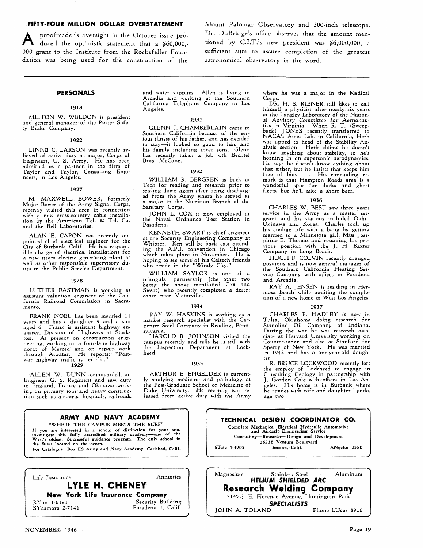000 grant to the Institute from the Rockefeller Foundatian was being used for the construction of the astronomical observatory in the word.

FIFTY-FOUR MILLION DOLLAR OVERSTATEMENT Mount Palomar Observatory and 200-inch telescope. proofreader's oversight in the October issue pro-<br>
duced the optimistic statement that a \$60,000,-<br> **PERECE TO BE A** CLUCE tioned by C.I.T.'s new president was \$6,000,000, a<br>
grant to the Institute from the Rockefeller Fou

#### **PERSONALS**

#### 1918

MILTON W. WELDON is president and general manager of the Porter Safety Brake Company.

#### 1922

LINNE C. LARSON was recently relieved of active duty as major, Corps of Engineers? U. S. Army. He has been admitted as a partner in the firm of Taylor and Taylor? Consulting Engineers, in Los Angeles.

#### 1927

M. MAXWELL BOWER, formerly Major Bower of the Army Signal Corps, recently visited this area in connection with a new cross-country cable installa-tion by the American Tel. & Tel. Co. and the Bell Laboratories.

ALAN E. CAPON was recently appointed chief electrical engineer for the City of Burbank' Calif. He has responsible charge of electrical installations for a new steam electric generating plant as well as other responsible supervisory duties in the Public Service Department.

#### 1928

LUTHER EASTMAN is working as assistant valuation engineer of the California Railroad Commission in Sacramento.

FRANK NOEL has been married 11 years and has a daughter **9** and a son aged 6. Frank is assistant highway engineer, Division of Highways at Stockton. At present on construction engineering? working on a four-lane highway north of Merced and on repair work through Atwater. He reports: "Post-war highway traffic is terrific.''

#### **1929**

ALLEN W. DUNN commanded an Engineer G. S. Regiment and saw duty in England, France and Okinawa working on primary jobs and heavy construction such as airports, hospitals, railroads

and water supplies. Allen is living in Arcadia and working at the Southern California Telephone Company in Los Angeles.

#### 1031

GLENN J. CHAMBERLAIN came to Southern California because of the serious illness of his father, and has decided to stay-it looked so good to him and his family including three sons. Glenn has recently taken a job wth Bechtel Bros. McCone.

#### 1032

WILLIAM R. BERGREN is back at Tech for reading and research prior to setding down again after being discharged from the Army where he served as a major in the Nutrition Branch of the Sanitary Corps.

JOHN L. COX is now employed at the Naval Ordnance Test Station in Pasadena.

KENNETH SWART is chief engineer at the Security Engineering Company at Whittier. Ken will be back east attending the A.P.I. convention in Chicago<br>which takes place in November. He is<br>hoping to see some of his Caltech friends<br>who reside in the "Windy City."

WILLIAM SAYLOR is one of a triangular partnership (the other two being the above mentioned Cox and Swart) who recently completed a desert cabin near Victorville.

#### 1934

RAY W. HASKINS is working as a market research specialist with the Carpenter Steel Company in Reading, Pennsylvania.

HAROLD B. JOHNSON visited the campus recently and tells he is still with the Inspection Department at Lockheed.

#### 1935

ARTHUR E. ENGELDER is currently studying medicine and pathology at the Post-Graduate School of Medicine of Duke University. He recently was released from active duty with the Army where he was a major in the Medical Corps

DR. H. S. RIBNER still likes to call himself a physicist after nearly six years at the Langley Laboratory of the Nation-<br>al Advisory Committee for Aernonau-<br>tics in Virginia. When R. T. (Sweep-<br>back) JONES recently transferred to<br>NACA's Ames Lab. in California, Herb<br>was upped to head of the Stability alysis section. Herb claims he doesn't<br>know anything about stability, so he's horning in on supersonic aerodynamics. He says he doesn't know aything about that either, but he insists that keeps him<br>free of bias-----. His concluding re-<br>mark is that Hampton Roads area is a wonderful spot for ducks and ghost fleets, but he'll take a short beer,

#### **1936**

CHARLES W. BEST saw three years service in the Army as a master ser-geant and his stations included Oahu, Okinawa and Korea. Charles took up his civilian life with a bang by getting married to a Minnesota girl' Miss Josephine E. Thomas and resuming his previous position with the J. H. Baxter Company in Long Beach.

HUGH F. COLVIN recently changed positions and is now general manager of the Southern California Heating Service Company with offices in Pasadena and Arcadia.

RAY A. JENSEN is residing in Hermosa Beach while awaiting the completion of a new home in West Los Angeles.

#### **1937**

CHARLES F. HADLEY is now in Tulsa, Oklahoma doing research for Stanolind Oil Company of Indiana. During the war he was research asso-ciate at Harvard University working on Counter-radar and also at Stanford for Sperry of New York. He was married in 1942 and has a one-year-old daughter.

R. BRUCE LOCKWOOD recently left the employ of Lockheed to engage in Consulting Geology in partnership with J. Gordon Cole with offices in Los Angeles. His home is in Burbank where he resides with wife and daughter Lynda, age two.



JOHN A. TOLAND

NOVEMBER, **1946 Page 19**